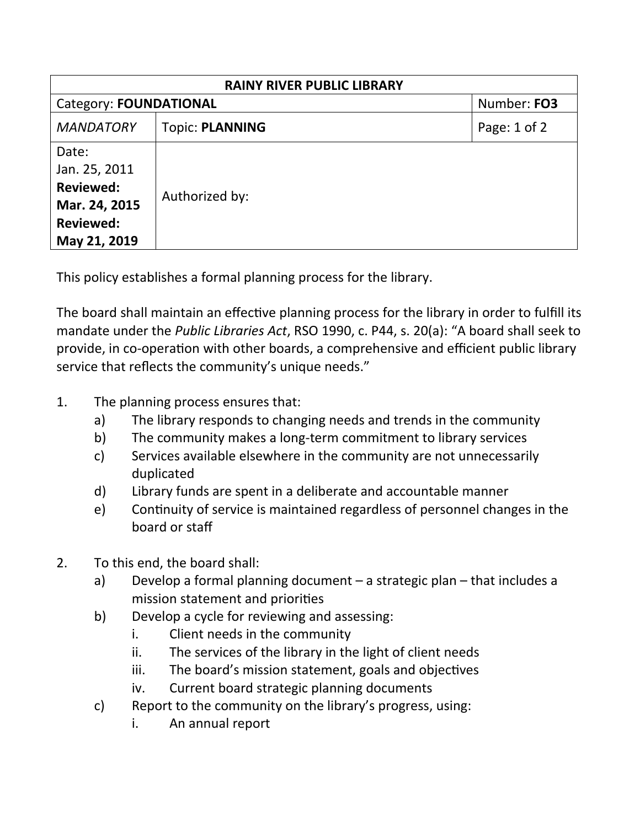| <b>RAINY RIVER PUBLIC LIBRARY</b>                                                               |                        |              |  |
|-------------------------------------------------------------------------------------------------|------------------------|--------------|--|
| <b>Category: FOUNDATIONAL</b>                                                                   |                        | Number: FO3  |  |
| <b>MANDATORY</b>                                                                                | <b>Topic: PLANNING</b> | Page: 1 of 2 |  |
| Date:<br>Jan. 25, 2011<br><b>Reviewed:</b><br>Mar. 24, 2015<br><b>Reviewed:</b><br>May 21, 2019 | Authorized by:         |              |  |

This policy establishes a formal planning process for the library.

The board shall maintain an effective planning process for the library in order to fulfill its mandate under the *Public Libraries Act*, RSO 1990, c. P44, s. 20(a): "A board shall seek to provide, in co-operation with other boards, a comprehensive and efficient public library service that reflects the community's unique needs."

- 1. The planning process ensures that:
	- a) The library responds to changing needs and trends in the community
	- b) The community makes a long-term commitment to library services
	- c) Services available elsewhere in the community are not unnecessarily duplicated
	- d) Library funds are spent in a deliberate and accountable manner
	- e) Continuity of service is maintained regardless of personnel changes in the board or staff
- 2. To this end, the board shall:
	- a) Develop a formal planning document a strategic plan that includes a mission statement and priorities
	- b) Develop a cycle for reviewing and assessing:
		- i. Client needs in the community
		- ii. The services of the library in the light of client needs
		- iii. The board's mission statement, goals and objectives
		- iv. Current board strategic planning documents
	- c) Report to the community on the library's progress, using:
		- i. An annual report